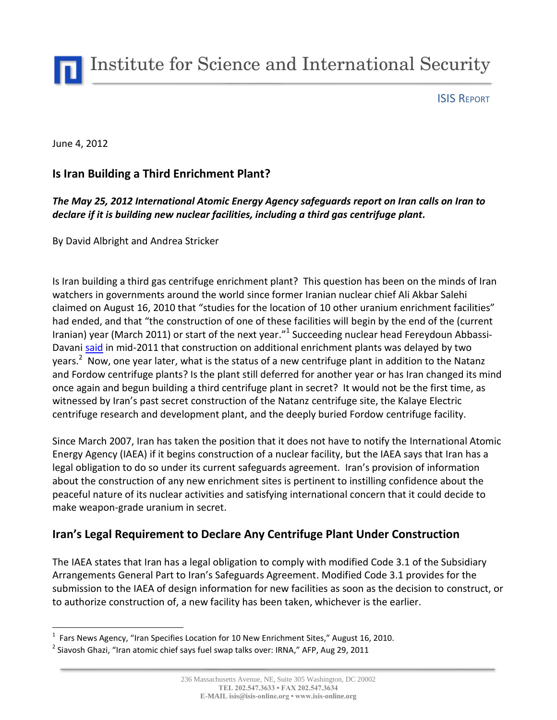Institute for Science and International Security

ISIS REPORT

#### June 4, 2012

 $\overline{a}$ 

## **Is Iran Building a Third Enrichment Plant?**

### *The May 25, 2012 International Atomic Energy Agency safeguards report on Iran calls on Iran to declare if it is building new nuclear facilities, including a third gas centrifuge plant.*

By David Albright and Andrea Stricker

Is Iran building a third gas centrifuge enrichment plant? This question has been on the minds of Iran watchers in governments around the world since former Iranian nuclear chief Ali Akbar Salehi claimed on August 16, 2010 that "studies for the location of 10 other uranium enrichment facilities" had ended, and that "the construction of one of these facilities will begin by the end of the (current Iranian) year (March 2011) or start of the next year."<sup>1</sup> Succeeding nuclear head Fereydoun AbbassiDavan[i said](http://www.google.com/hostednews/afp/article/ALeqM5jSa03-4Aj_2jCpHLBh9OtamqEGGw?docId=CNG.7c17079d7c11af9808712bdbf0a8351d.7b1) in mid-2011 that construction on additional enrichment plants was delayed by two years.<sup>2</sup> Now, one year later, what is the status of a new centrifuge plant in addition to the Natanz and Fordow centrifuge plants? Is the plant still deferred for another year or has Iran changed its mind once again and begun building a third centrifuge plant in secret? It would not be the first time, as witnessed by Iran's past secret construction of the Natanz centrifuge site, the Kalaye Electric centrifuge research and development plant, and the deeply buried Fordow centrifuge facility.

Since March 2007, Iran has taken the position that it does not have to notify the International Atomic Energy Agency (IAEA) if it begins construction of a nuclear facility, but the IAEA says that Iran has a legal obligation to do so under its current safeguards agreement. Iran's provision of information about the construction of any new enrichment sites is pertinent to instilling confidence about the peaceful nature of its nuclear activities and satisfying international concern that it could decide to make weapon-grade uranium in secret.

## **Iran's Legal Requirement to Declare Any Centrifuge Plant Under Construction**

The IAEA states that Iran has a legal obligation to comply with modified Code 3.1 of the Subsidiary Arrangements General Part to Iran's Safeguards Agreement. Modified Code 3.1 provides for the submission to the IAEA of design information for new facilities as soon as the decision to construct, or to authorize construction of, a new facility has been taken, whichever is the earlier.

 $<sup>1</sup>$  Fars News Agency, "Iran Specifies Location for 10 New Enrichment Sites," August 16, 2010.</sup>

 $^2$  Siavosh Ghazi, "Iran atomic chief says fuel swap talks over: IRNA," AFP, Aug 29, 2011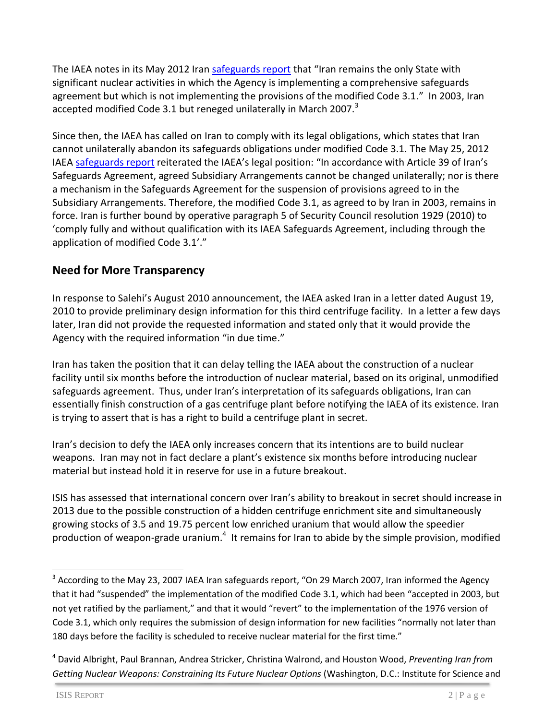The IAEA notes in its May 2012 Iran [safeguards report](http://www.isis-online.org/uploads/isis-reports/documents/IAEA_Iran_Report_25May2012.pdf) that "Iran remains the only State with significant nuclear activities in which the Agency is implementing a comprehensive safeguards agreement but which is not implementing the provisions of the modified Code 3.1." In 2003, Iran accepted modified Code 3.1 but reneged unilaterally in March 2007.<sup>3</sup>

Since then, the IAEA has called on Iran to comply with its legal obligations, which states that Iran cannot unilaterally abandon its safeguards obligations under modified Code 3.1. The May 25, 2012 IAEA [safeguards report](http://www.isis-online.org/uploads/isis-reports/documents/IAEA_Iran_Report_25May2012.pdf) reiterated the IAEA's legal position: "In accordance with Article 39 of Iran's Safeguards Agreement, agreed Subsidiary Arrangements cannot be changed unilaterally; nor is there a mechanism in the Safeguards Agreement for the suspension of provisions agreed to in the Subsidiary Arrangements. Therefore, the modified Code 3.1, as agreed to by Iran in 2003, remains in force. Iran is further bound by operative paragraph 5 of Security Council resolution 1929 (2010) to 'comply fully and without qualification with its IAEA Safeguards Agreement, including through the application of modified Code 3.1'."

# **Need for More Transparency**

In response to Salehi's August 2010 announcement, the IAEA asked Iran in a letter dated August 19, 2010 to provide preliminary design information for this third centrifuge facility. In a letter a few days later, Iran did not provide the requested information and stated only that it would provide the Agency with the required information "in due time."

Iran has taken the position that it can delay telling the IAEA about the construction of a nuclear facility until six months before the introduction of nuclear material, based on its original, unmodified safeguards agreement. Thus, under Iran's interpretation of its safeguards obligations, Iran can essentially finish construction of a gas centrifuge plant before notifying the IAEA of its existence. Iran is trying to assert that is has a right to build a centrifuge plant in secret.

Iran's decision to defy the IAEA only increases concern that its intentions are to build nuclear weapons. Iran may not in fact declare a plant's existence six months before introducing nuclear material but instead hold it in reserve for use in a future breakout.

ISIS has assessed that international concern over Iran's ability to breakout in secret should increase in 2013 due to the possible construction of a hidden centrifuge enrichment site and simultaneously growing stocks of 3.5 and 19.75 percent low enriched uranium that would allow the speedier production of weapon-grade uranium.<sup>4</sup> It remains for Iran to abide by the simple provision, modified

 $\ddot{\phantom{a}}$ 

 $3$  According to the May 23, 2007 IAEA Iran safeguards report, "On 29 March 2007, Iran informed the Agency that it had "suspended" the implementation of the modified Code 3.1, which had been "accepted in 2003, but not yet ratified by the parliament," and that it would "revert" to the implementation of the 1976 version of Code 3.1, which only requires the submission of design information for new facilities "normally not later than 180 days before the facility is scheduled to receive nuclear material for the first time."

<sup>4</sup> David Albright, Paul Brannan, Andrea Stricker, Christina Walrond, and Houston Wood, *Preventing Iran from Getting Nuclear Weapons: Constraining Its Future Nuclear Options* (Washington, D.C.: Institute for Science and